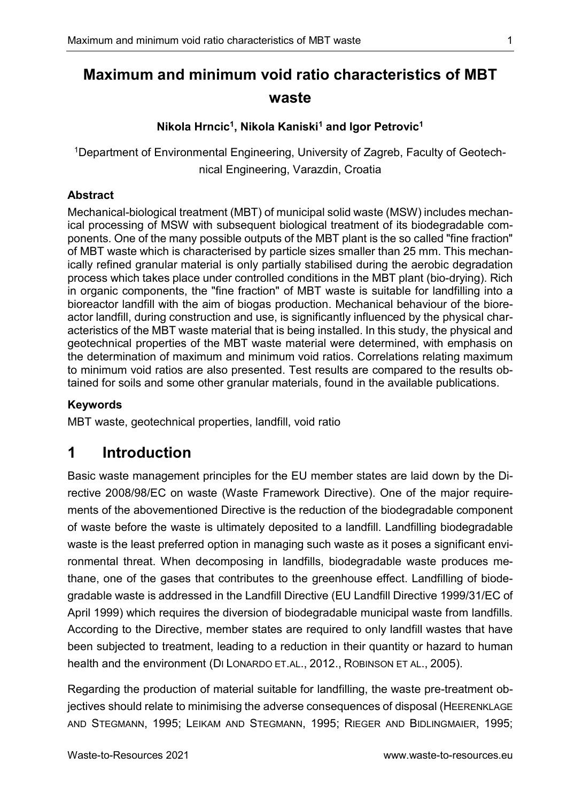# Maximum and minimum void ratio characteristics of MBT waste

### Nikola Hrncic<sup>1</sup>, Nikola Kaniski<sup>1</sup> and Igor Petrovic<sup>1</sup>

1Department of Environmental Engineering, University of Zagreb, Faculty of Geotechnical Engineering, Varazdin, Croatia

#### Abstract

Mechanical-biological treatment (MBT) of municipal solid waste (MSW) includes mechanical processing of MSW with subsequent biological treatment of its biodegradable components. One of the many possible outputs of the MBT plant is the so called "fine fraction" of MBT waste which is characterised by particle sizes smaller than 25 mm. This mechanically refined granular material is only partially stabilised during the aerobic degradation process which takes place under controlled conditions in the MBT plant (bio-drying). Rich in organic components, the "fine fraction" of MBT waste is suitable for landfilling into a bioreactor landfill with the aim of biogas production. Mechanical behaviour of the bioreactor landfill, during construction and use, is significantly influenced by the physical characteristics of the MBT waste material that is being installed. In this study, the physical and geotechnical properties of the MBT waste material were determined, with emphasis on the determination of maximum and minimum void ratios. Correlations relating maximum to minimum void ratios are also presented. Test results are compared to the results obtained for soils and some other granular materials, found in the available publications.

#### Keywords

MBT waste, geotechnical properties, landfill, void ratio

# 1 Introduction

Basic waste management principles for the EU member states are laid down by the Directive 2008/98/EC on waste (Waste Framework Directive). One of the major requirements of the abovementioned Directive is the reduction of the biodegradable component of waste before the waste is ultimately deposited to a landfill. Landfilling biodegradable waste is the least preferred option in managing such waste as it poses a significant environmental threat. When decomposing in landfills, biodegradable waste produces methane, one of the gases that contributes to the greenhouse effect. Landfilling of biodegradable waste is addressed in the Landfill Directive (EU Landfill Directive 1999/31/EC of April 1999) which requires the diversion of biodegradable municipal waste from landfills. According to the Directive, member states are required to only landfill wastes that have been subjected to treatment, leading to a reduction in their quantity or hazard to human health and the environment (DI LONARDO ET.AL., 2012., ROBINSON ET AL., 2005).

Regarding the production of material suitable for landfilling, the waste pre-treatment objectives should relate to minimising the adverse consequences of disposal (HEERENKLAGE AND STEGMANN, 1995; LEIKAM AND STEGMANN, 1995; RIEGER AND BIDLINGMAIER, 1995;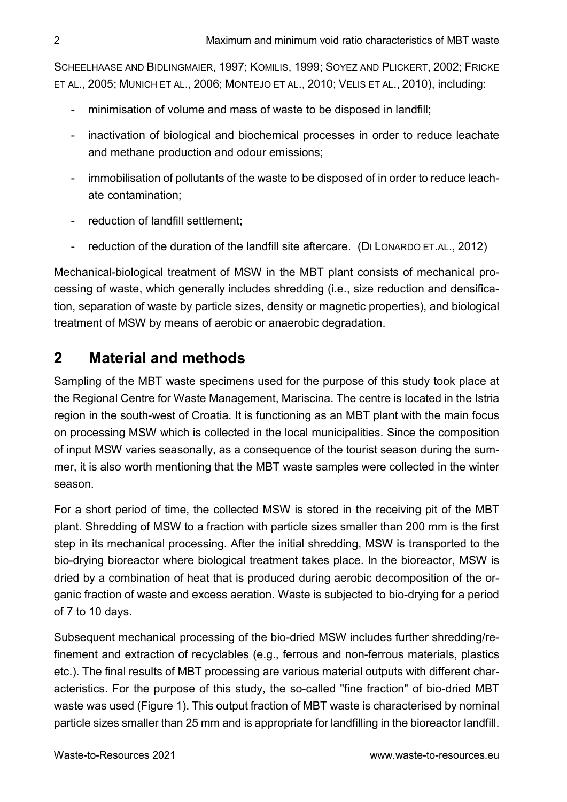SCHEELHAASE AND BIDLINGMAIER, 1997; KOMILIS, 1999; SOYEZ AND PLICKERT, 2002; FRICKE ET AL., 2005; MUNICH ET AL., 2006; MONTEJO ET AL., 2010; VELIS ET AL., 2010), including:

- minimisation of volume and mass of waste to be disposed in landfill;
- inactivation of biological and biochemical processes in order to reduce leachate and methane production and odour emissions;
- immobilisation of pollutants of the waste to be disposed of in order to reduce leachate contamination;
- reduction of landfill settlement;
- reduction of the duration of the landfill site aftercare. (DI LONARDO ET.AL., 2012)

Mechanical-biological treatment of MSW in the MBT plant consists of mechanical processing of waste, which generally includes shredding (i.e., size reduction and densification, separation of waste by particle sizes, density or magnetic properties), and biological treatment of MSW by means of aerobic or anaerobic degradation.

# 2 Material and methods

Sampling of the MBT waste specimens used for the purpose of this study took place at the Regional Centre for Waste Management, Mariscina. The centre is located in the Istria region in the south-west of Croatia. It is functioning as an MBT plant with the main focus on processing MSW which is collected in the local municipalities. Since the composition of input MSW varies seasonally, as a consequence of the tourist season during the summer, it is also worth mentioning that the MBT waste samples were collected in the winter season.

For a short period of time, the collected MSW is stored in the receiving pit of the MBT plant. Shredding of MSW to a fraction with particle sizes smaller than 200 mm is the first step in its mechanical processing. After the initial shredding, MSW is transported to the bio-drying bioreactor where biological treatment takes place. In the bioreactor, MSW is dried by a combination of heat that is produced during aerobic decomposition of the organic fraction of waste and excess aeration. Waste is subjected to bio-drying for a period of 7 to 10 days.

Subsequent mechanical processing of the bio-dried MSW includes further shredding/refinement and extraction of recyclables (e.g., ferrous and non-ferrous materials, plastics etc.). The final results of MBT processing are various material outputs with different characteristics. For the purpose of this study, the so-called "fine fraction" of bio-dried MBT waste was used (Figure 1). This output fraction of MBT waste is characterised by nominal particle sizes smaller than 25 mm and is appropriate for landfilling in the bioreactor landfill.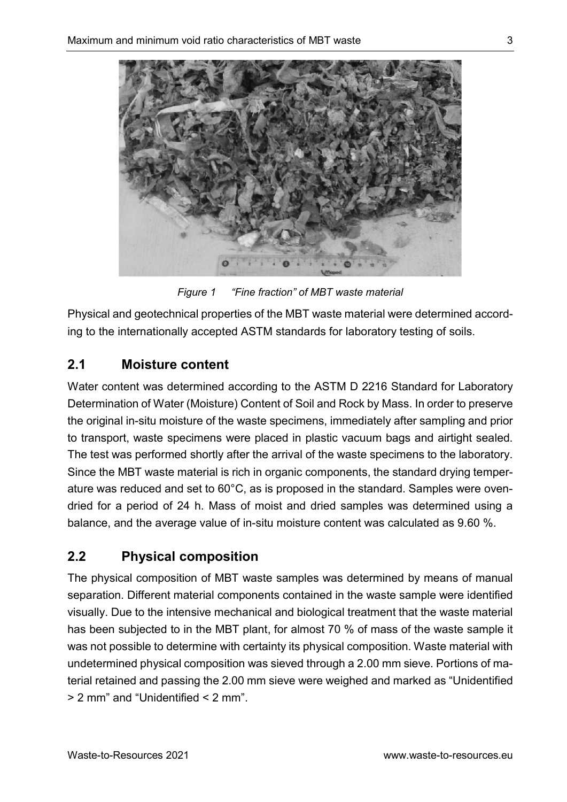

Figure 1 "Fine fraction" of MBT waste material

Physical and geotechnical properties of the MBT waste material were determined according to the internationally accepted ASTM standards for laboratory testing of soils.

## 2.1 Moisture content

Water content was determined according to the ASTM D 2216 Standard for Laboratory Determination of Water (Moisture) Content of Soil and Rock by Mass. In order to preserve the original in-situ moisture of the waste specimens, immediately after sampling and prior to transport, waste specimens were placed in plastic vacuum bags and airtight sealed. The test was performed shortly after the arrival of the waste specimens to the laboratory. Since the MBT waste material is rich in organic components, the standard drying temperature was reduced and set to 60°C, as is proposed in the standard. Samples were ovendried for a period of 24 h. Mass of moist and dried samples was determined using a balance, and the average value of in-situ moisture content was calculated as 9.60 %.

# 2.2 Physical composition

The physical composition of MBT waste samples was determined by means of manual separation. Different material components contained in the waste sample were identified visually. Due to the intensive mechanical and biological treatment that the waste material has been subjected to in the MBT plant, for almost 70 % of mass of the waste sample it was not possible to determine with certainty its physical composition. Waste material with undetermined physical composition was sieved through a 2.00 mm sieve. Portions of material retained and passing the 2.00 mm sieve were weighed and marked as "Unidentified > 2 mm" and "Unidentified < 2 mm".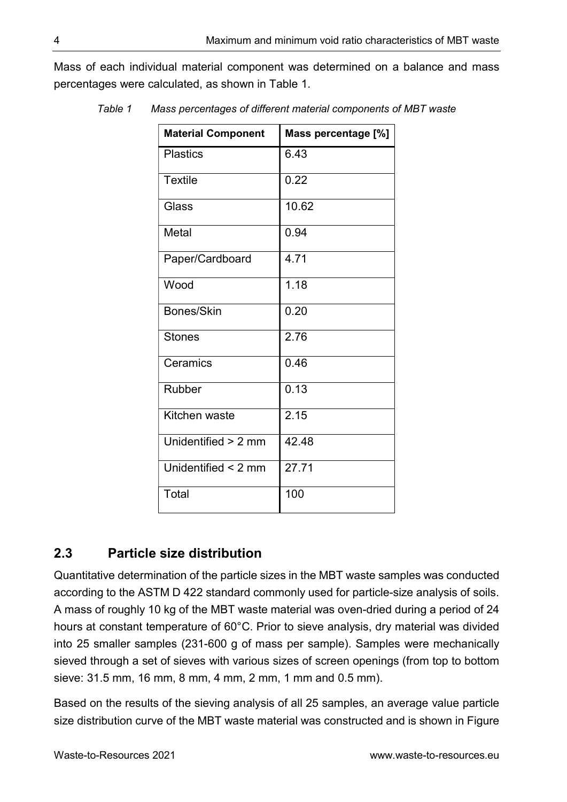Mass of each individual material component was determined on a balance and mass percentages were calculated, as shown in Table 1.

| <b>Material Component</b> | Mass percentage [%] |
|---------------------------|---------------------|
| <b>Plastics</b>           | 6.43                |
| <b>Textile</b>            | 0.22                |
| Glass                     | 10.62               |
| Metal                     | 0.94                |
| Paper/Cardboard           | 4.71                |
| Wood                      | 1.18                |
| Bones/Skin                | 0.20                |
| <b>Stones</b>             | 2.76                |
| Ceramics                  | 0.46                |
| Rubber                    | 0.13                |
| Kitchen waste             | 2.15                |
| Unidentified > 2 mm       | 42.48               |
| Unidentified $\leq$ 2 mm  | 27.71               |
| Total                     | 100                 |

Table 1 Mass percentages of different material components of MBT waste

## 2.3 Particle size distribution

Quantitative determination of the particle sizes in the MBT waste samples was conducted according to the ASTM D 422 standard commonly used for particle-size analysis of soils. A mass of roughly 10 kg of the MBT waste material was oven-dried during a period of 24 hours at constant temperature of 60°C. Prior to sieve analysis, dry material was divided into 25 smaller samples (231-600 g of mass per sample). Samples were mechanically sieved through a set of sieves with various sizes of screen openings (from top to bottom sieve: 31.5 mm, 16 mm, 8 mm, 4 mm, 2 mm, 1 mm and 0.5 mm).

Based on the results of the sieving analysis of all 25 samples, an average value particle size distribution curve of the MBT waste material was constructed and is shown in Figure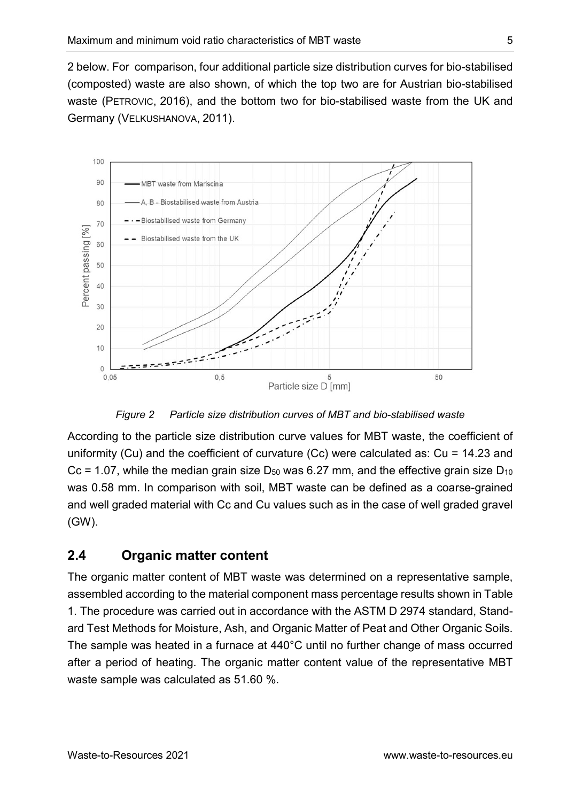2 below. For comparison, four additional particle size distribution curves for bio-stabilised (composted) waste are also shown, of which the top two are for Austrian bio-stabilised waste (PETROVIC, 2016), and the bottom two for bio-stabilised waste from the UK and Germany (VELKUSHANOVA, 2011).



Figure 2 Particle size distribution curves of MBT and bio-stabilised waste

According to the particle size distribution curve values for MBT waste, the coefficient of uniformity (Cu) and the coefficient of curvature (Cc) were calculated as: Cu = 14.23 and Cc = 1.07, while the median grain size  $D_{50}$  was 6.27 mm, and the effective grain size  $D_{10}$ was 0.58 mm. In comparison with soil, MBT waste can be defined as a coarse-grained and well graded material with Cc and Cu values such as in the case of well graded gravel (GW).

## 2.4 Organic matter content

The organic matter content of MBT waste was determined on a representative sample, assembled according to the material component mass percentage results shown in Table 1. The procedure was carried out in accordance with the ASTM D 2974 standard, Standard Test Methods for Moisture, Ash, and Organic Matter of Peat and Other Organic Soils. The sample was heated in a furnace at 440°C until no further change of mass occurred after a period of heating. The organic matter content value of the representative MBT waste sample was calculated as 51.60 %.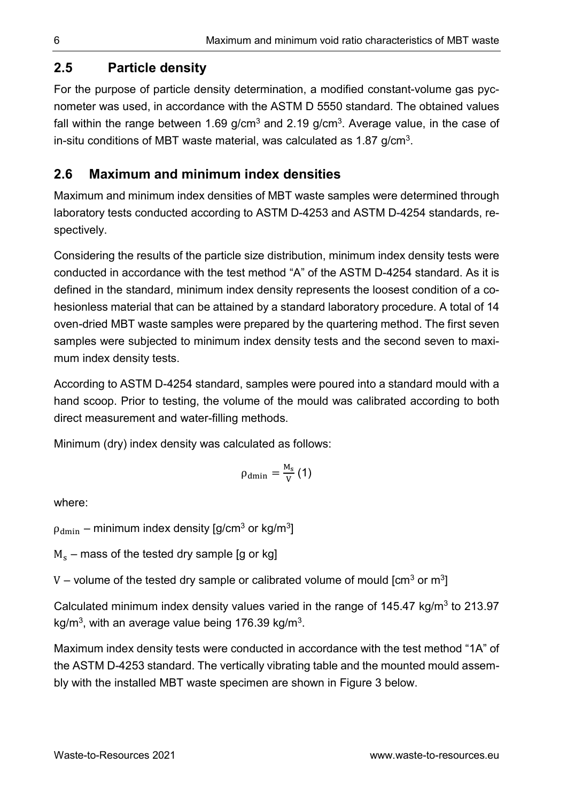## 2.5 Particle density

For the purpose of particle density determination, a modified constant-volume gas pycnometer was used, in accordance with the ASTM D 5550 standard. The obtained values fall within the range between 1.69 g/cm<sup>3</sup> and 2.19 g/cm<sup>3</sup>. Average value, in the case of in-situ conditions of MBT waste material, was calculated as 1.87 g/cm<sup>3</sup>.

## 2.6 Maximum and minimum index densities

Maximum and minimum index densities of MBT waste samples were determined through laboratory tests conducted according to ASTM D-4253 and ASTM D-4254 standards, respectively.

Considering the results of the particle size distribution, minimum index density tests were conducted in accordance with the test method "A" of the ASTM D-4254 standard. As it is defined in the standard, minimum index density represents the loosest condition of a cohesionless material that can be attained by a standard laboratory procedure. A total of 14 oven-dried MBT waste samples were prepared by the quartering method. The first seven samples were subjected to minimum index density tests and the second seven to maximum index density tests.

According to ASTM D-4254 standard, samples were poured into a standard mould with a hand scoop. Prior to testing, the volume of the mould was calibrated according to both direct measurement and water-filling methods.

Minimum (dry) index density was calculated as follows:

$$
\rho_{dmin}=\frac{M_s}{V}\left(1\right)
$$

where:

 $\rho_{\rm dmin}$  – minimum index density [g/cm $^3$  or kg/m $^3$ ]

 $\text{M}_\text{s}$  – mass of the tested dry sample [g or kg]

V – volume of the tested dry sample or calibrated volume of mould [cm<sup>3</sup> or m<sup>3</sup>]

Calculated minimum index density values varied in the range of  $145.47$  kg/m<sup>3</sup> to 213.97 kg/m<sup>3</sup>, with an average value being 176.39 kg/m<sup>3</sup>.

Maximum index density tests were conducted in accordance with the test method "1A" of the ASTM D-4253 standard. The vertically vibrating table and the mounted mould assembly with the installed MBT waste specimen are shown in Figure 3 below.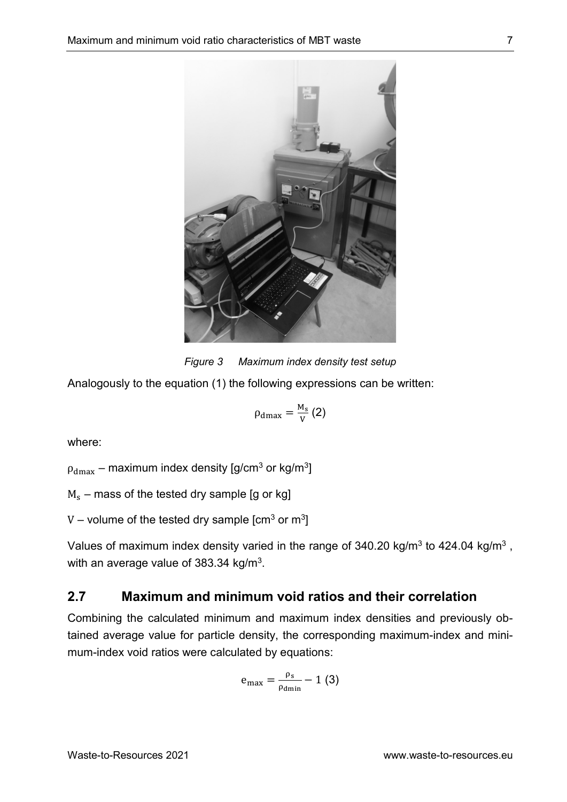

Figure 3 Maximum index density test setup

Analogously to the equation (1) the following expressions can be written:

$$
\rho_{\rm dmax}=\frac{\rm M_{s}}{\rm V}\left(2\right)
$$

where:

 $\rho_{\rm dmax}$  – maximum index density [g/cm $^3$  or kg/m $^3$ ]

 $\text{M}_\text{s}$  – mass of the tested dry sample [g or kg]

V – volume of the tested dry sample  $[cm<sup>3</sup>$  or  $m<sup>3</sup>]$ 

Values of maximum index density varied in the range of 340.20 kg/m<sup>3</sup> to 424.04 kg/m<sup>3</sup>, with an average value of 383.34 kg/m<sup>3</sup>.

### 2.7 Maximum and minimum void ratios and their correlation

Combining the calculated minimum and maximum index densities and previously obtained average value for particle density, the corresponding maximum-index and minimum-index void ratios were calculated by equations:

$$
e_{\text{max}} = \frac{\rho_s}{\rho_{\text{dmin}}} - 1 \text{ (3)}
$$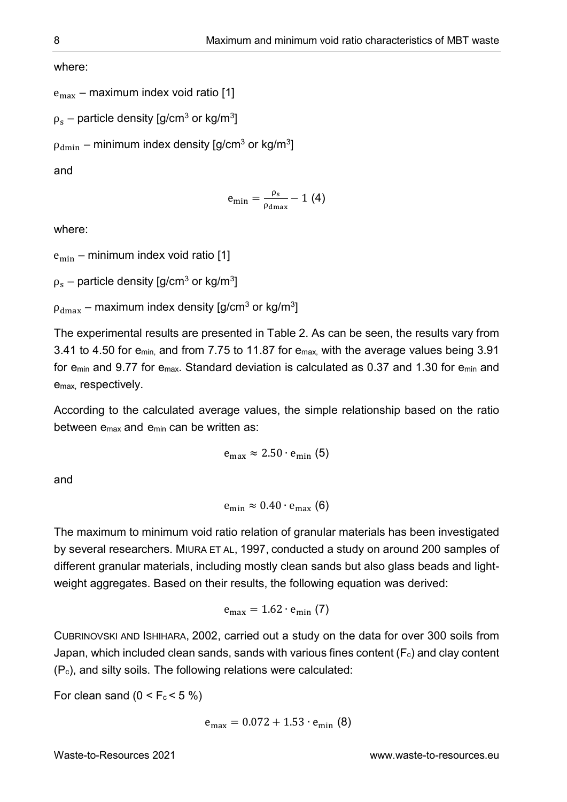where:

```
e<sub>max</sub> – maximum index void ratio [1]
```

```
\rho_{\rm s} – particle density [g/cm^3 or kg/m^3]
```
 $\rho_{\rm dmin}$  – minimum index density [g/cm $^3$  or kg/m $^3$ ]

and

$$
e_{\min}=\frac{\rho_s}{\rho_{\text{dmax}}}-1\ (4)
$$

where:

 $e_{\min}$  – minimum index void ratio [1]

 $\rho_{\rm s}$  – particle density [g/cm $^3$  or kg/m $^3$ ]

 $\rho_{\rm dmax}$  – maximum index density [g/cm $^3$  or kg/m $^3$ ]

The experimental results are presented in Table 2. As can be seen, the results vary from 3.41 to 4.50 for emin, and from 7.75 to 11.87 for emax, with the average values being 3.91 for emin and 9.77 for emax. Standard deviation is calculated as 0.37 and 1.30 for emin and emax, respectively.

According to the calculated average values, the simple relationship based on the ratio between emax and emin can be written as:

$$
e_{max} \approx 2.50 \cdot e_{min} (5)
$$

and

$$
e_{\min} \approx 0.40 \cdot e_{\max} (6)
$$

The maximum to minimum void ratio relation of granular materials has been investigated by several researchers. MIURA ET AL, 1997, conducted a study on around 200 samples of different granular materials, including mostly clean sands but also glass beads and lightweight aggregates. Based on their results, the following equation was derived:

$$
e_{\text{max}} = 1.62 \cdot e_{\text{min}} \text{ (7)}
$$

CUBRINOVSKI AND ISHIHARA, 2002, carried out a study on the data for over 300 soils from Japan, which included clean sands, sands with various fines content  $(F_c)$  and clay content (Pc), and silty soils. The following relations were calculated:

For clean sand  $(0 < F_c < 5\%)$ 

$$
e_{\text{max}} = 0.072 + 1.53 \cdot e_{\text{min}}(8)
$$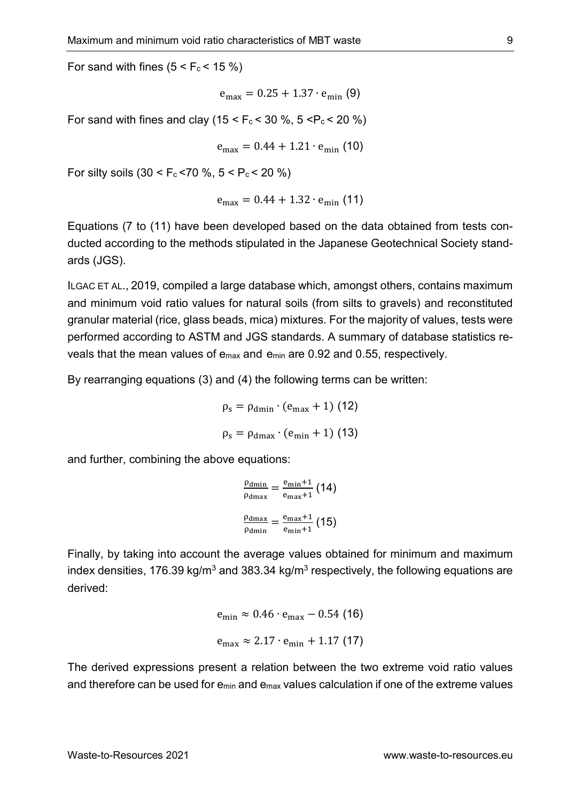For sand with fines  $(5 < F_c < 15 \%)$ 

$$
e_{\text{max}} = 0.25 + 1.37 \cdot e_{\text{min}}
$$
 (9)

For sand with fines and clay ( $15 < F_c < 30$  %,  $5 < P_c < 20$  %)

$$
e_{\text{max}} = 0.44 + 1.21 \cdot e_{\text{min}} \text{ (10)}
$$

For silty soils  $(30 < F_c < 70$  %,  $5 < P_c < 20$  %)

$$
e_{\text{max}} = 0.44 + 1.32 \cdot e_{\text{min}} \text{ (11)}
$$

Equations (7 to (11) have been developed based on the data obtained from tests conducted according to the methods stipulated in the Japanese Geotechnical Society standards (JGS).

ILGAC ET AL., 2019, compiled a large database which, amongst others, contains maximum and minimum void ratio values for natural soils (from silts to gravels) and reconstituted granular material (rice, glass beads, mica) mixtures. For the majority of values, tests were performed according to ASTM and JGS standards. A summary of database statistics reveals that the mean values of emax and emin are 0.92 and 0.55, respectively.

By rearranging equations (3) and (4) the following terms can be written:

$$
\rho_s = \rho_{\text{dmin}} \cdot (e_{\text{max}} + 1) (12)
$$

$$
\rho_s = \rho_{\text{dmax}} \cdot (e_{\text{min}} + 1) (13)
$$

and further, combining the above equations:

$$
\frac{\rho_{\text{dmin}}}{\rho_{\text{dmax}}} = \frac{e_{\text{min}} + 1}{e_{\text{max}} + 1} (14)
$$

$$
\frac{\rho_{\text{dmax}}}{\rho_{\text{dmin}}} = \frac{e_{\text{max}} + 1}{e_{\text{min}} + 1} (15)
$$

Finally, by taking into account the average values obtained for minimum and maximum index densities, 176.39 kg/m<sup>3</sup> and 383.34 kg/m<sup>3</sup> respectively, the following equations are derived:

$$
e_{\min} \approx 0.46 \cdot e_{\max} - 0.54 \text{ (16)}
$$
  
 $e_{\max} \approx 2.17 \cdot e_{\min} + 1.17 \text{ (17)}$ 

The derived expressions present a relation between the two extreme void ratio values and therefore can be used for  $e_{min}$  and  $e_{max}$  values calculation if one of the extreme values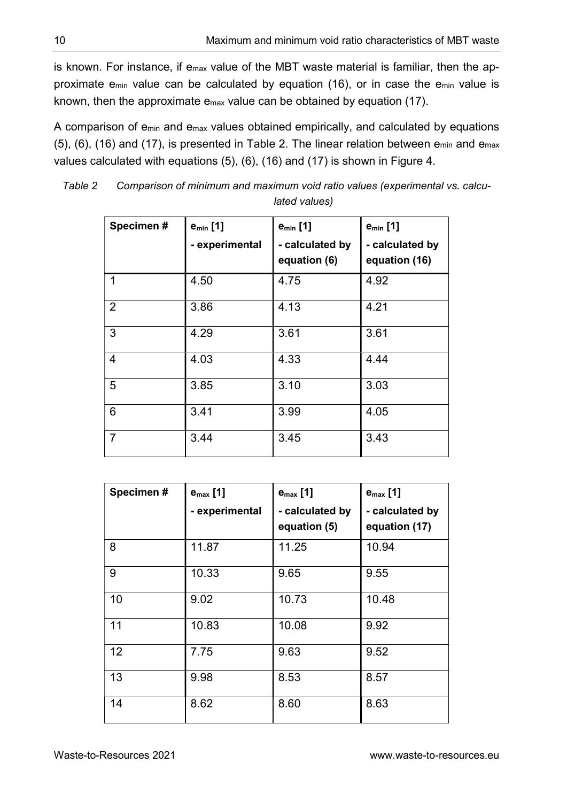is known. For instance, if emax value of the MBT waste material is familiar, then the approximate emin value can be calculated by equation (16), or in case the emin value is known, then the approximate emax value can be obtained by equation (17).

A comparison of emin and emax values obtained empirically, and calculated by equations (5), (6), (16) and (17), is presented in Table 2. The linear relation between  $e_{min}$  and  $e_{max}$ values calculated with equations (5), (6), (16) and (17) is shown in Figure 4.

| Specimen#      | $e_{min}$ [1]<br>- experimental | $e_{min}$ [1]<br>- calculated by<br>equation (6) | $e_{min}$ [1]<br>- calculated by<br>equation (16) |
|----------------|---------------------------------|--------------------------------------------------|---------------------------------------------------|
| 1              | 4.50                            | 4.75                                             | 4.92                                              |
| $\overline{2}$ | 3.86                            | 4.13                                             | 4.21                                              |
| 3              | 4.29                            | 3.61                                             | 3.61                                              |
| 4              | 4.03                            | 4.33                                             | 4.44                                              |
| 5              | 3.85                            | 3.10                                             | 3.03                                              |
| 6              | 3.41                            | 3.99                                             | 4.05                                              |
| $\overline{7}$ | 3.44                            | 3.45                                             | 3.43                                              |

Table 2 Comparison of minimum and maximum void ratio values (experimental vs. calculated values)

| Specimen# | $e_{\text{max}}$ [1]<br>- experimental | $e_{\text{max}}$ [1]<br>- calculated by<br>equation (5) | $e_{\text{max}}$ [1]<br>- calculated by<br>equation (17) |
|-----------|----------------------------------------|---------------------------------------------------------|----------------------------------------------------------|
| 8         | 11.87                                  | 11.25                                                   | 10.94                                                    |
| 9         | 10.33                                  | 9.65                                                    | 9.55                                                     |
| 10        | 9.02                                   | 10.73                                                   | 10.48                                                    |
| 11        | 10.83                                  | 10.08                                                   | 9.92                                                     |
| 12        | 7.75                                   | 9.63                                                    | 9.52                                                     |
| 13        | 9.98                                   | 8.53                                                    | 8.57                                                     |
| 14        | 8.62                                   | 8.60                                                    | 8.63                                                     |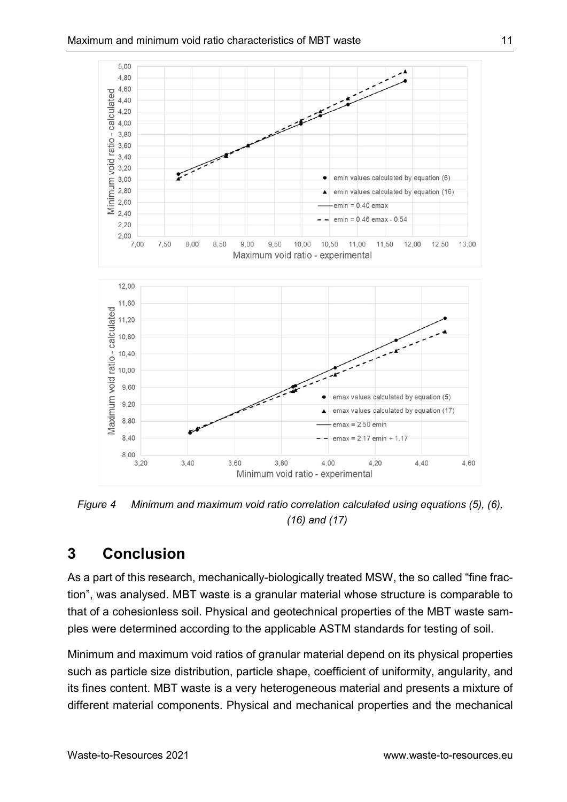

Figure 4 Minimum and maximum void ratio correlation calculated using equations (5), (6), (16) and (17)

# 3 Conclusion

As a part of this research, mechanically-biologically treated MSW, the so called "fine fraction", was analysed. MBT waste is a granular material whose structure is comparable to that of a cohesionless soil. Physical and geotechnical properties of the MBT waste samples were determined according to the applicable ASTM standards for testing of soil.

Minimum and maximum void ratios of granular material depend on its physical properties such as particle size distribution, particle shape, coefficient of uniformity, angularity, and its fines content. MBT waste is a very heterogeneous material and presents a mixture of different material components. Physical and mechanical properties and the mechanical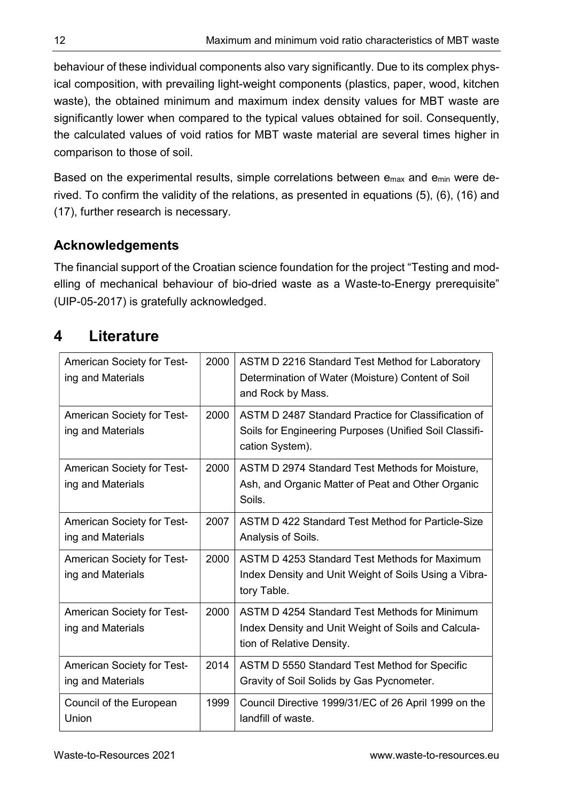behaviour of these individual components also vary significantly. Due to its complex physical composition, with prevailing light-weight components (plastics, paper, wood, kitchen waste), the obtained minimum and maximum index density values for MBT waste are significantly lower when compared to the typical values obtained for soil. Consequently, the calculated values of void ratios for MBT waste material are several times higher in comparison to those of soil.

Based on the experimental results, simple correlations between emax and emin were derived. To confirm the validity of the relations, as presented in equations (5), (6), (16) and (17), further research is necessary.

## Acknowledgements

The financial support of the Croatian science foundation for the project "Testing and modelling of mechanical behaviour of bio-dried waste as a Waste-to-Energy prerequisite" (UIP-05-2017) is gratefully acknowledged.

# 4 Literature

| <b>American Society for Test-</b><br>ing and Materials | 2000 | ASTM D 2216 Standard Test Method for Laboratory<br>Determination of Water (Moisture) Content of Soil<br>and Rock by Mass.         |
|--------------------------------------------------------|------|-----------------------------------------------------------------------------------------------------------------------------------|
| American Society for Test-<br>ing and Materials        | 2000 | ASTM D 2487 Standard Practice for Classification of<br>Soils for Engineering Purposes (Unified Soil Classifi-<br>cation System).  |
| American Society for Test-<br>ing and Materials        | 2000 | ASTM D 2974 Standard Test Methods for Moisture,<br>Ash, and Organic Matter of Peat and Other Organic<br>Soils.                    |
| American Society for Test-<br>ing and Materials        | 2007 | ASTM D 422 Standard Test Method for Particle-Size<br>Analysis of Soils.                                                           |
| American Society for Test-<br>ing and Materials        | 2000 | ASTM D 4253 Standard Test Methods for Maximum<br>Index Density and Unit Weight of Soils Using a Vibra-<br>tory Table.             |
| <b>American Society for Test-</b><br>ing and Materials | 2000 | ASTM D 4254 Standard Test Methods for Minimum<br>Index Density and Unit Weight of Soils and Calcula-<br>tion of Relative Density. |
| <b>American Society for Test-</b><br>ing and Materials | 2014 | ASTM D 5550 Standard Test Method for Specific<br>Gravity of Soil Solids by Gas Pycnometer.                                        |
| Council of the European<br>Union                       | 1999 | Council Directive 1999/31/EC of 26 April 1999 on the<br>landfill of waste.                                                        |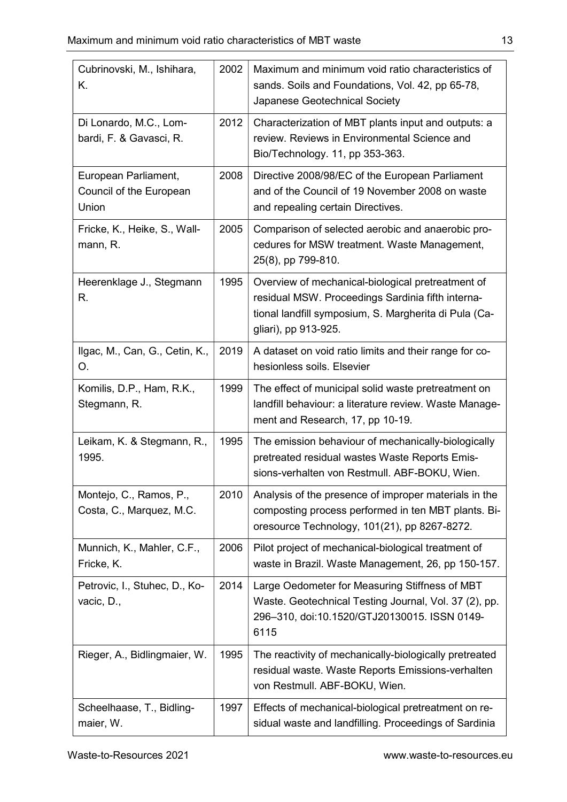| Cubrinovski, M., Ishihara,<br>Κ.                         | 2002 | Maximum and minimum void ratio characteristics of<br>sands. Soils and Foundations, Vol. 42, pp 65-78,<br>Japanese Geotechnical Society                                                  |
|----------------------------------------------------------|------|-----------------------------------------------------------------------------------------------------------------------------------------------------------------------------------------|
| Di Lonardo, M.C., Lom-<br>bardi, F. & Gavasci, R.        | 2012 | Characterization of MBT plants input and outputs: a<br>review. Reviews in Environmental Science and<br>Bio/Technology. 11, pp 353-363.                                                  |
| European Parliament,<br>Council of the European<br>Union | 2008 | Directive 2008/98/EC of the European Parliament<br>and of the Council of 19 November 2008 on waste<br>and repealing certain Directives.                                                 |
| Fricke, K., Heike, S., Wall-<br>mann, R.                 | 2005 | Comparison of selected aerobic and anaerobic pro-<br>cedures for MSW treatment. Waste Management,<br>25(8), pp 799-810.                                                                 |
| Heerenklage J., Stegmann<br>R.                           | 1995 | Overview of mechanical-biological pretreatment of<br>residual MSW. Proceedings Sardinia fifth interna-<br>tional landfill symposium, S. Margherita di Pula (Ca-<br>gliari), pp 913-925. |
| Ilgac, M., Can, G., Cetin, K.,<br>O.                     | 2019 | A dataset on void ratio limits and their range for co-<br>hesionless soils. Elsevier                                                                                                    |
| Komilis, D.P., Ham, R.K.,<br>Stegmann, R.                | 1999 | The effect of municipal solid waste pretreatment on<br>landfill behaviour: a literature review. Waste Manage-<br>ment and Research, 17, pp 10-19.                                       |
| Leikam, K. & Stegmann, R.,<br>1995.                      | 1995 | The emission behaviour of mechanically-biologically<br>pretreated residual wastes Waste Reports Emis-<br>sions-verhalten von Restmull. ABF-BOKU, Wien.                                  |
| Montejo, C., Ramos, P.,<br>Costa, C., Marquez, M.C.      | 2010 | Analysis of the presence of improper materials in the<br>composting process performed in ten MBT plants. Bi-<br>oresource Technology, 101(21), pp 8267-8272.                            |
| Munnich, K., Mahler, C.F.,<br>Fricke, K.                 | 2006 | Pilot project of mechanical-biological treatment of<br>waste in Brazil. Waste Management, 26, pp 150-157.                                                                               |
| Petrovic, I., Stuhec, D., Ko-<br>vacic, D.,              | 2014 | Large Oedometer for Measuring Stiffness of MBT<br>Waste. Geotechnical Testing Journal, Vol. 37 (2), pp.<br>296-310, doi:10.1520/GTJ20130015. ISSN 0149-<br>6115                         |
| Rieger, A., Bidlingmaier, W.                             | 1995 | The reactivity of mechanically-biologically pretreated<br>residual waste. Waste Reports Emissions-verhalten<br>von Restmull. ABF-BOKU, Wien.                                            |
| Scheelhaase, T., Bidling-<br>maier, W.                   | 1997 | Effects of mechanical-biological pretreatment on re-<br>sidual waste and landfilling. Proceedings of Sardinia                                                                           |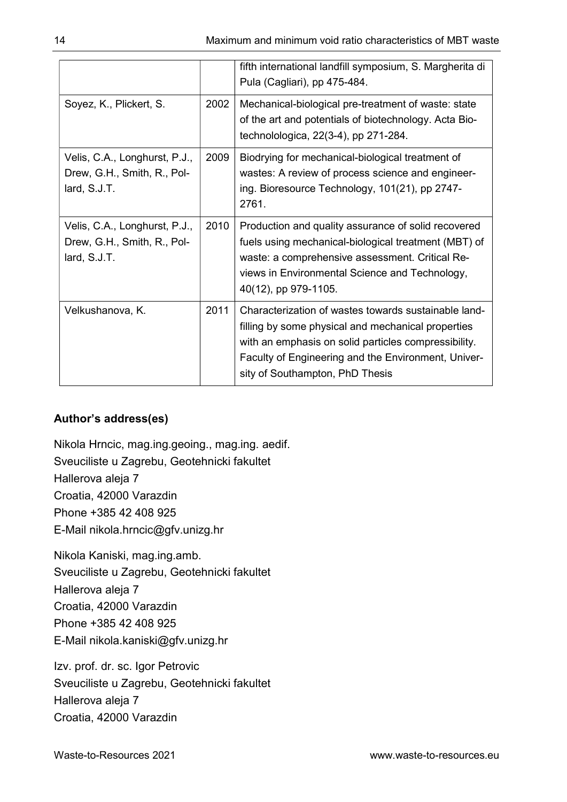|                                                                              |      | fifth international landfill symposium, S. Margherita di<br>Pula (Cagliari), pp 475-484.                                                                                                                                                                     |
|------------------------------------------------------------------------------|------|--------------------------------------------------------------------------------------------------------------------------------------------------------------------------------------------------------------------------------------------------------------|
| Soyez, K., Plickert, S.                                                      | 2002 | Mechanical-biological pre-treatment of waste: state<br>of the art and potentials of biotechnology. Acta Bio-<br>technolologica, 22(3-4), pp 271-284.                                                                                                         |
| Velis, C.A., Longhurst, P.J.,<br>Drew, G.H., Smith, R., Pol-<br>lard, S.J.T. | 2009 | Biodrying for mechanical-biological treatment of<br>wastes: A review of process science and engineer-<br>ing. Bioresource Technology, 101(21), pp 2747-<br>2761.                                                                                             |
| Velis, C.A., Longhurst, P.J.,<br>Drew, G.H., Smith, R., Pol-<br>lard, S.J.T. | 2010 | Production and quality assurance of solid recovered<br>fuels using mechanical-biological treatment (MBT) of<br>waste: a comprehensive assessment. Critical Re-<br>views in Environmental Science and Technology,<br>40(12), pp 979-1105.                     |
| Velkushanova, K.                                                             | 2011 | Characterization of wastes towards sustainable land-<br>filling by some physical and mechanical properties<br>with an emphasis on solid particles compressibility.<br>Faculty of Engineering and the Environment, Univer-<br>sity of Southampton, PhD Thesis |

#### Author's address(es)

Nikola Hrncic, mag.ing.geoing., mag.ing. aedif. Sveuciliste u Zagrebu, Geotehnicki fakultet Hallerova aleja 7 Croatia, 42000 Varazdin Phone +385 42 408 925 E-Mail nikola.hrncic@gfv.unizg.hr

Nikola Kaniski, mag.ing.amb.

Sveuciliste u Zagrebu, Geotehnicki fakultet

Hallerova aleja 7

Croatia, 42000 Varazdin

Phone +385 42 408 925

E-Mail nikola.kaniski@gfv.unizg.hr

Izv. prof. dr. sc. Igor Petrovic Sveuciliste u Zagrebu, Geotehnicki fakultet Hallerova aleja 7 Croatia, 42000 Varazdin